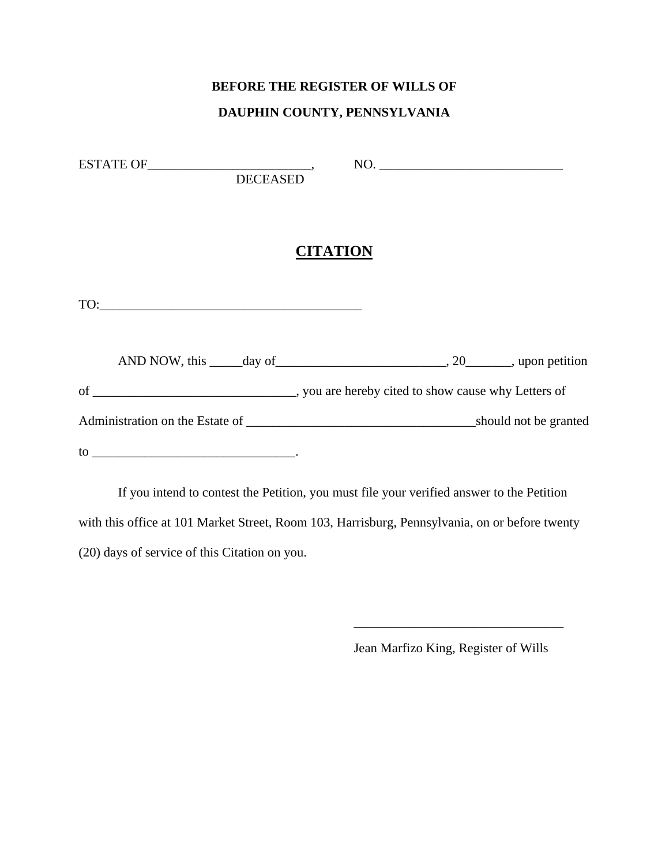#### **DAUPHIN COUNTY, PENNSYLVANIA**

| <b>DECEASED</b> | NO.                                                                                      |
|-----------------|------------------------------------------------------------------------------------------|
|                 | <b>CITATION</b>                                                                          |
| TO:             |                                                                                          |
|                 | AND NOW, this $\_\_\_\_day\$ of $\_\_\_\_\_\_\_\_\_y$ , 20 $\_\_\_\_\_\$ , upon petition |
|                 |                                                                                          |
|                 |                                                                                          |
|                 |                                                                                          |

 If you intend to contest the Petition, you must file your verified answer to the Petition with this office at 101 Market Street, Room 103, Harrisburg, Pennsylvania, on or before twenty (20) days of service of this Citation on you.

 $\overline{\phantom{a}}$  , and the contract of the contract of the contract of the contract of the contract of the contract of the contract of the contract of the contract of the contract of the contract of the contract of the contrac

Jean Marfizo King, Register of Wills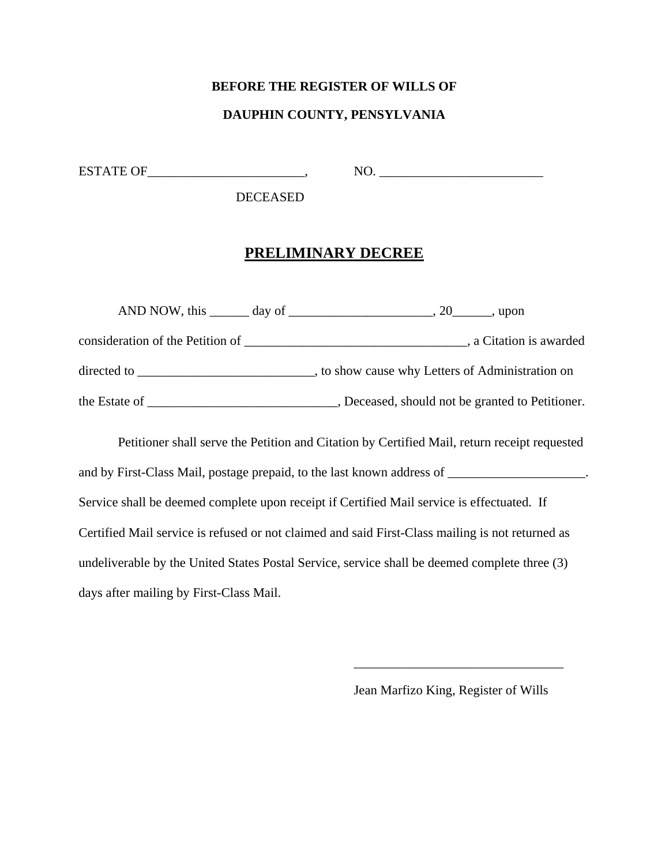#### **DAUPHIN COUNTY, PENSYLVANIA**

ESTATE OF\_\_\_\_\_\_\_\_\_\_\_\_\_\_\_\_\_\_\_\_\_\_\_\_\_\_\_\_\_,

NO. \_\_\_\_\_\_\_\_\_\_\_\_\_\_\_\_\_\_\_\_\_\_\_\_\_

DECEASED

### **PRELIMINARY DECREE**

|                                                                                    | AND NOW, this $\_\_\_\_$ day of $\_\_\_\_\_\_\_\_$ . 20<br>upon. |
|------------------------------------------------------------------------------------|------------------------------------------------------------------|
|                                                                                    |                                                                  |
| directed to $\frac{1}{\sqrt{1-\frac{1}{2}}}\left\lfloor \frac{1}{2} \right\rfloor$ | , to show cause why Letters of Administration on                 |
| the Estate of $\_\_$                                                               | , Deceased, should not be granted to Petitioner.                 |

 Petitioner shall serve the Petition and Citation by Certified Mail, return receipt requested and by First-Class Mail, postage prepaid, to the last known address of \_\_\_\_\_\_\_\_\_\_\_\_\_\_\_\_\_\_\_. Service shall be deemed complete upon receipt if Certified Mail service is effectuated. If Certified Mail service is refused or not claimed and said First-Class mailing is not returned as undeliverable by the United States Postal Service, service shall be deemed complete three (3) days after mailing by First-Class Mail.

 $\overline{\phantom{a}}$  , and the contract of the contract of the contract of the contract of the contract of the contract of the contract of the contract of the contract of the contract of the contract of the contract of the contrac

Jean Marfizo King, Register of Wills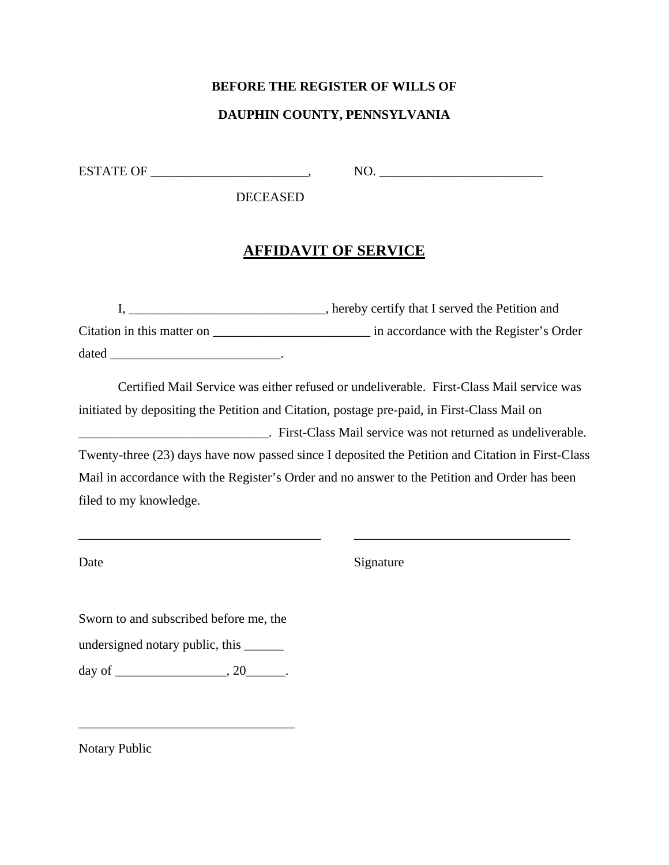# **DAUPHIN COUNTY, PENNSYLVANIA**

ESTATE OF \_\_\_\_\_\_\_\_\_\_\_\_\_\_\_\_\_\_\_\_\_\_\_\_\_\_\_\_,

NO. \_\_\_\_\_\_\_\_\_\_\_\_\_\_\_\_\_\_\_\_\_\_\_\_\_

DECEASED

# **AFFIDAVIT OF SERVICE**

|                            | , hereby certify that I served the Petition and |
|----------------------------|-------------------------------------------------|
| Citation in this matter on | in accordance with the Register's Order         |
| dated                      |                                                 |

Certified Mail Service was either refused or undeliverable. First-Class Mail service was initiated by depositing the Petition and Citation, postage pre-paid, in First-Class Mail on \_\_\_\_\_\_\_\_\_\_\_\_\_\_\_\_\_\_\_\_\_\_\_\_\_\_\_\_\_. First-Class Mail service was not returned as undeliverable. Twenty-three (23) days have now passed since I deposited the Petition and Citation in First-Class Mail in accordance with the Register's Order and no answer to the Petition and Order has been filed to my knowledge.

\_\_\_\_\_\_\_\_\_\_\_\_\_\_\_\_\_\_\_\_\_\_\_\_\_\_\_\_\_\_\_\_\_\_\_\_\_ \_\_\_\_\_\_\_\_\_\_\_\_\_\_\_\_\_\_\_\_\_\_\_\_\_\_\_\_\_\_\_\_\_

Date Signature

Sworn to and subscribed before me, the undersigned notary public, this \_\_\_\_\_\_

day of \_\_\_\_\_\_\_\_\_\_\_\_\_\_\_\_\_\_, 20\_\_\_\_\_\_\_.

\_\_\_\_\_\_\_\_\_\_\_\_\_\_\_\_\_\_\_\_\_\_\_\_\_\_\_\_\_\_\_\_\_

Notary Public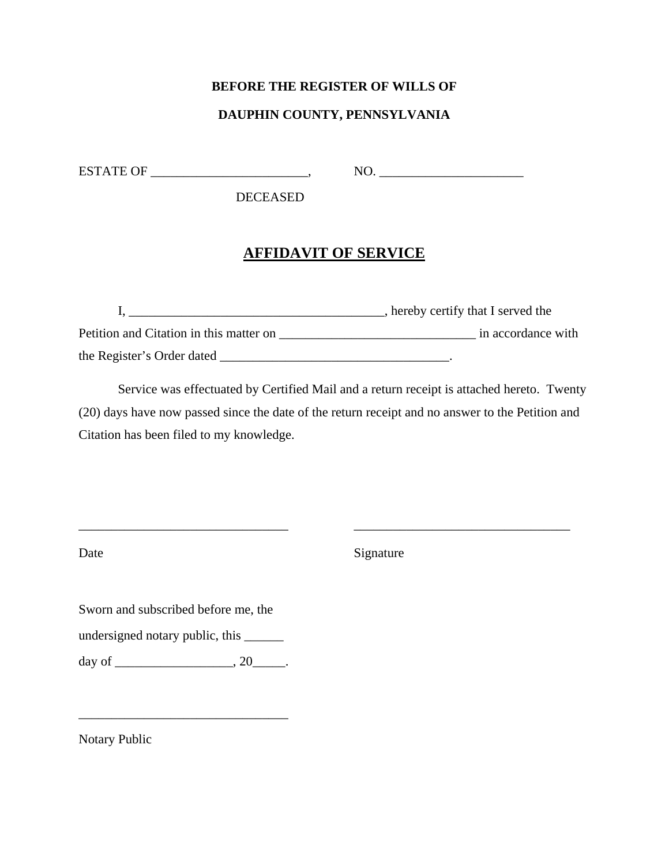### **DAUPHIN COUNTY, PENNSYLVANIA**

ESTATE OF \_\_\_\_\_\_\_\_\_\_\_\_\_\_\_\_\_\_\_\_\_\_\_\_\_\_\_\_\_,

NO. \_\_\_\_\_\_\_\_\_\_\_\_\_\_\_\_\_\_\_\_\_\_

DECEASED

### **AFFIDAVIT OF SERVICE**

|                                         | , hereby certify that I served the |
|-----------------------------------------|------------------------------------|
| Petition and Citation in this matter on | in accordance with                 |
| the Register's Order dated              |                                    |

Service was effectuated by Certified Mail and a return receipt is attached hereto. Twenty (20) days have now passed since the date of the return receipt and no answer to the Petition and Citation has been filed to my knowledge.

\_\_\_\_\_\_\_\_\_\_\_\_\_\_\_\_\_\_\_\_\_\_\_\_\_\_\_\_\_\_\_\_ \_\_\_\_\_\_\_\_\_\_\_\_\_\_\_\_\_\_\_\_\_\_\_\_\_\_\_\_\_\_\_\_\_

Date Signature

Sworn and subscribed before me, the

undersigned notary public, this \_\_\_\_\_\_

day of \_\_\_\_\_\_\_\_\_\_\_\_\_\_\_\_\_\_\_\_\_, 20\_\_\_\_\_\_.

\_\_\_\_\_\_\_\_\_\_\_\_\_\_\_\_\_\_\_\_\_\_\_\_\_\_\_\_\_\_\_\_

Notary Public